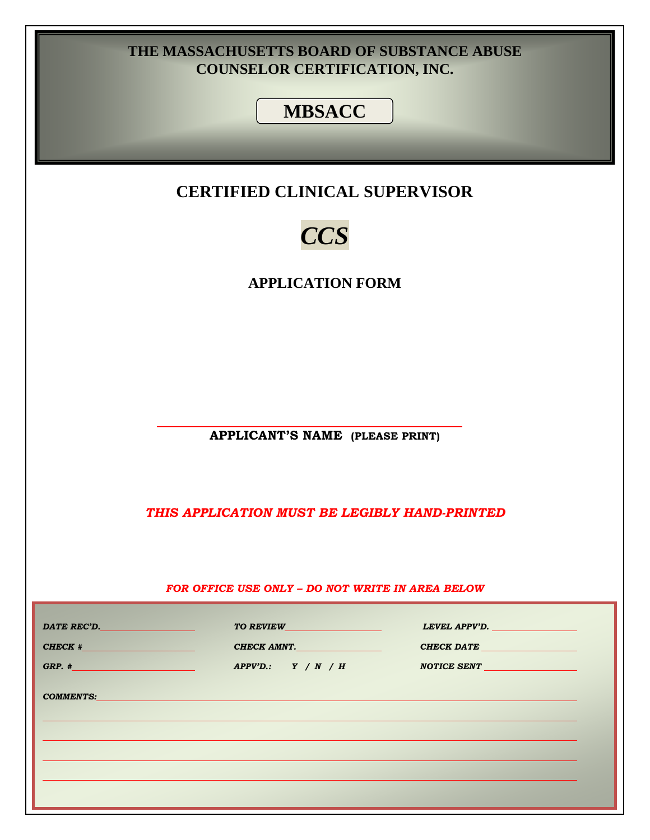## **THE MASSACHUSETTS BOARD OF SUBSTANCE ABUSE COUNSELOR CERTIFICATION, INC.**

# **MBSACC**

## **CERTIFIED CLINICAL SUPERVISOR**



**APPLICATION FORM**

**APPLICANT'S NAME (PLEASE PRINT)**

*THIS APPLICATION MUST BE LEGIBLY HAND-PRINTED*

#### *FOR OFFICE USE ONLY – DO NOT WRITE IN AREA BELOW*

| DATE REC'D.                | TO REVIEW <b>TO REVIEW</b> | <b>LEVEL APPV'D.</b>    |
|----------------------------|----------------------------|-------------------------|
| $CHECK$ #                  | CHECK AMNT.                | CHECK DATE              |
| GRP. $#$                   | $APPV'D$ .: $Y / N / H$    | <b>NOTICE SENT SENT</b> |
| <b>COMMENTS:</b> COMMENTS: |                            |                         |
|                            |                            |                         |
|                            |                            |                         |
|                            |                            |                         |
|                            |                            |                         |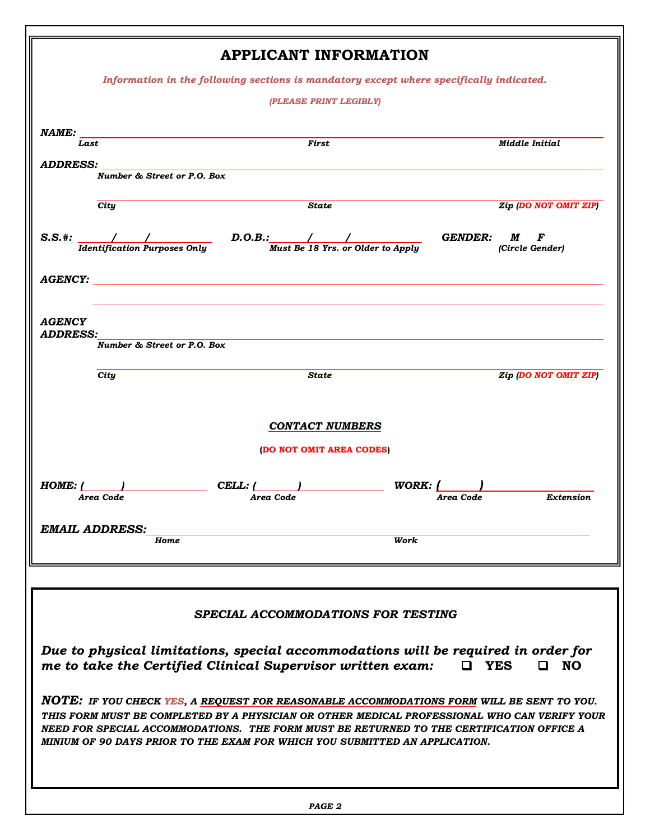| <b>APPLICANT INFORMATION</b>                                                                                                                                                                                                                                                                                                                                         |
|----------------------------------------------------------------------------------------------------------------------------------------------------------------------------------------------------------------------------------------------------------------------------------------------------------------------------------------------------------------------|
| Information in the following sections is mandatory except where specifically indicated.                                                                                                                                                                                                                                                                              |
| (PLEASE PRINT LEGIBLY)                                                                                                                                                                                                                                                                                                                                               |
|                                                                                                                                                                                                                                                                                                                                                                      |
| <i>NAME:</i><br><u> 1989 - Johann Stein, marwolaethau a bhann an t-Amhainn an t-Amhainn an t-Amhainn an t-Amhainn an t-Amhainn a</u><br>First<br>Middle Initial<br>Last                                                                                                                                                                                              |
| ADDRESS: the contract of the contract of the contract of the contract of the contract of the contract of the contract of the contract of the contract of the contract of the contract of the contract of the contract of the c                                                                                                                                       |
| Number & Street or P.O. Box                                                                                                                                                                                                                                                                                                                                          |
| Zip (DO NOT OMIT ZIP)<br><b>State</b><br>City                                                                                                                                                                                                                                                                                                                        |
| $\sqrt{1 - (1 - 1)^2}$ D.O.B.: $\sqrt{1 - (1 - 1)^2}$<br><b>GENDER:</b><br>M<br>$S.S.$ #:<br>F<br><b>Identification Purposes Only</b><br>Must Be 18 Yrs. or Older to Apply<br>(Circle Gender)                                                                                                                                                                        |
| AGENCY:                                                                                                                                                                                                                                                                                                                                                              |
|                                                                                                                                                                                                                                                                                                                                                                      |
| <b>AGENCY</b>                                                                                                                                                                                                                                                                                                                                                        |
| <b>ADDRESS:</b><br>Number & Street or P.O. Box                                                                                                                                                                                                                                                                                                                       |
|                                                                                                                                                                                                                                                                                                                                                                      |
| Zip (DO NOT OMIT ZIP)<br>City<br>State                                                                                                                                                                                                                                                                                                                               |
|                                                                                                                                                                                                                                                                                                                                                                      |
| <b>CONTACT NUMBERS</b>                                                                                                                                                                                                                                                                                                                                               |
| (DO NOT OMIT AREA CODES)                                                                                                                                                                                                                                                                                                                                             |
|                                                                                                                                                                                                                                                                                                                                                                      |
| <b>WORK:</b><br>CELL: (<br><b>HOME:</b> I<br>Area Code<br>Extension<br>Area Code<br>Area Code                                                                                                                                                                                                                                                                        |
|                                                                                                                                                                                                                                                                                                                                                                      |
| <b>EMAIL ADDRESS:</b>                                                                                                                                                                                                                                                                                                                                                |
| Work<br>Home                                                                                                                                                                                                                                                                                                                                                         |
|                                                                                                                                                                                                                                                                                                                                                                      |
| <b>SPECIAL ACCOMMODATIONS FOR TESTING</b>                                                                                                                                                                                                                                                                                                                            |
| Due to physical limitations, special accommodations will be required in order for<br>me to take the Certified Clinical Supervisor written exam:<br><b>NO</b><br>$\Box$<br><b>YES</b>                                                                                                                                                                                 |
| NOTE: IF YOU CHECK YES, A REQUEST FOR REASONABLE ACCOMMODATIONS FORM WILL BE SENT TO YOU.<br>THIS FORM MUST BE COMPLETED BY A PHYSICIAN OR OTHER MEDICAL PROFESSIONAL WHO CAN VERIFY YOUR<br>NEED FOR SPECIAL ACCOMMODATIONS. THE FORM MUST BE RETURNED TO THE CERTIFICATION OFFICE A<br>MINIUM OF 90 DAYS PRIOR TO THE EXAM FOR WHICH YOU SUBMITTED AN APPLICATION. |
| PAGE 2                                                                                                                                                                                                                                                                                                                                                               |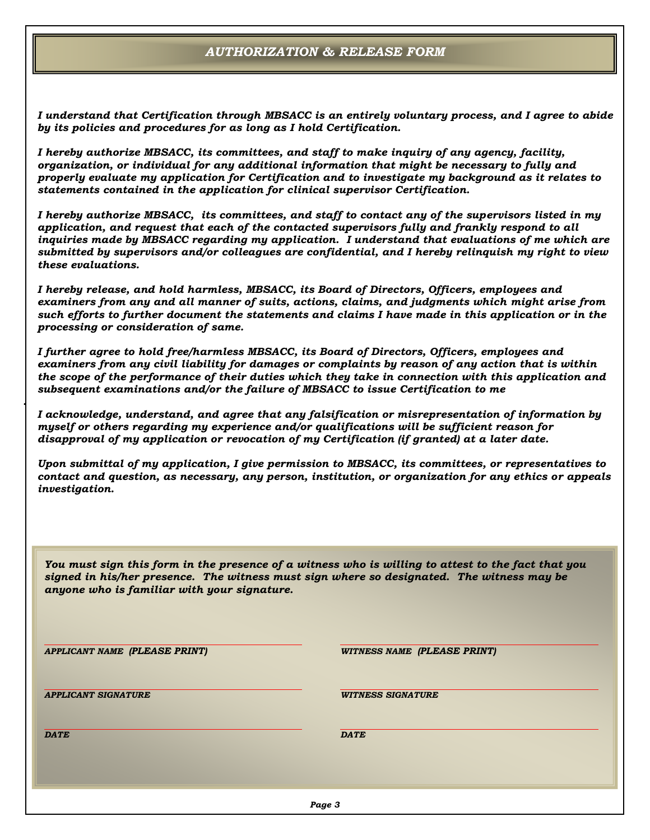#### *AUTHORIZATION & RELEASE FORM*

*I understand that Certification through MBSACC is an entirely voluntary process, and I agree to abide by its policies and procedures for as long as I hold Certification.*

*I hereby authorize MBSACC, its committees, and staff to make inquiry of any agency, facility, organization, or individual for any additional information that might be necessary to fully and properly evaluate my application for Certification and to investigate my background as it relates to statements contained in the application for clinical supervisor Certification.*

*I hereby authorize MBSACC, its committees, and staff to contact any of the supervisors listed in my application, and request that each of the contacted supervisors fully and frankly respond to all inquiries made by MBSACC regarding my application. I understand that evaluations of me which are submitted by supervisors and/or colleagues are confidential, and I hereby relinquish my right to view these evaluations.*

*I hereby release, and hold harmless, MBSACC, its Board of Directors, Officers, employees and examiners from any and all manner of suits, actions, claims, and judgments which might arise from such efforts to further document the statements and claims I have made in this application or in the processing or consideration of same.*

*I further agree to hold free/harmless MBSACC, its Board of Directors, Officers, employees and examiners from any civil liability for damages or complaints by reason of any action that is within the scope of the performance of their duties which they take in connection with this application and subsequent examinations and/or the failure of MBSACC to issue Certification to me*

*I acknowledge, understand, and agree that any falsification or misrepresentation of information by myself or others regarding my experience and/or qualifications will be sufficient reason for disapproval of my application or revocation of my Certification (if granted) at a later date.*

*Upon submittal of my application, I give permission to MBSACC, its committees, or representatives to contact and question, as necessary, any person, institution, or organization for any ethics or appeals investigation.*

*You must sign this form in the presence of a witness who is willing to attest to the fact that you signed in his/her presence. The witness must sign where so designated. The witness may be anyone who is familiar with your signature.*

*APPLICANT NAME (PLEASE PRINT) WITNESS NAME (PLEASE PRINT)*

*APPLICANT SIGNATURE WITNESS SIGNATURE*

*DATE DATE DATE* 

*.*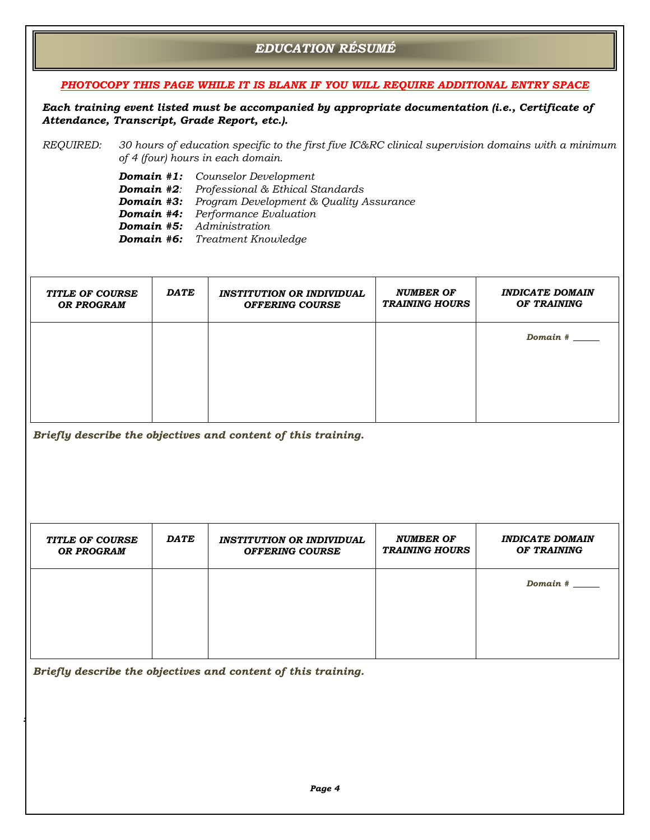### *EDUCATION RÉSUMÉ*

#### *PHOTOCOPY THIS PAGE WHILE IT IS BLANK IF YOU WILL REQUIRE ADDITIONAL ENTRY SPACE*

#### *Each training event listed must be accompanied by appropriate documentation (i.e., Certificate of Attendance, Transcript, Grade Report, etc.).*

*REQUIRED: 30 hours of education specific to the first five IC&RC clinical supervision domains with a minimum of 4 (four) hours in each domain.*

- *Domain #1: Counselor Development*
- *Domain #2: Professional & Ethical Standards*
- *Domain #3: Program Development & Quality Assurance*
- *Domain #4: Performance Evaluation*
- *Domain #5: Administration*
- *Domain #6: Treatment Knowledge*

| <b>TITLE OF COURSE</b><br>OR PROGRAM | <b>DATE</b> | INSTITUTION OR INDIVIDUAL<br><b>OFFERING COURSE</b> | <b>NUMBER OF</b><br><b>TRAINING HOURS</b> | <b>INDICATE DOMAIN</b><br>OF TRAINING |
|--------------------------------------|-------------|-----------------------------------------------------|-------------------------------------------|---------------------------------------|
|                                      |             |                                                     |                                           | $Domain$ # $\_\_$                     |
|                                      |             |                                                     |                                           |                                       |
|                                      |             |                                                     |                                           |                                       |

*Briefly describe the objectives and content of this training.*

| <b>TITLE OF COURSE</b><br>OR PROGRAM | <b>DATE</b> | INSTITUTION OR INDIVIDUAL<br><b>OFFERING COURSE</b> | <b>NUMBER OF</b><br><b>TRAINING HOURS</b> | <b>INDICATE DOMAIN</b><br>OF TRAINING |
|--------------------------------------|-------------|-----------------------------------------------------|-------------------------------------------|---------------------------------------|
|                                      |             |                                                     |                                           |                                       |
|                                      |             |                                                     |                                           |                                       |
|                                      |             |                                                     |                                           |                                       |

*Briefly describe the objectives and content of this training.*

*:*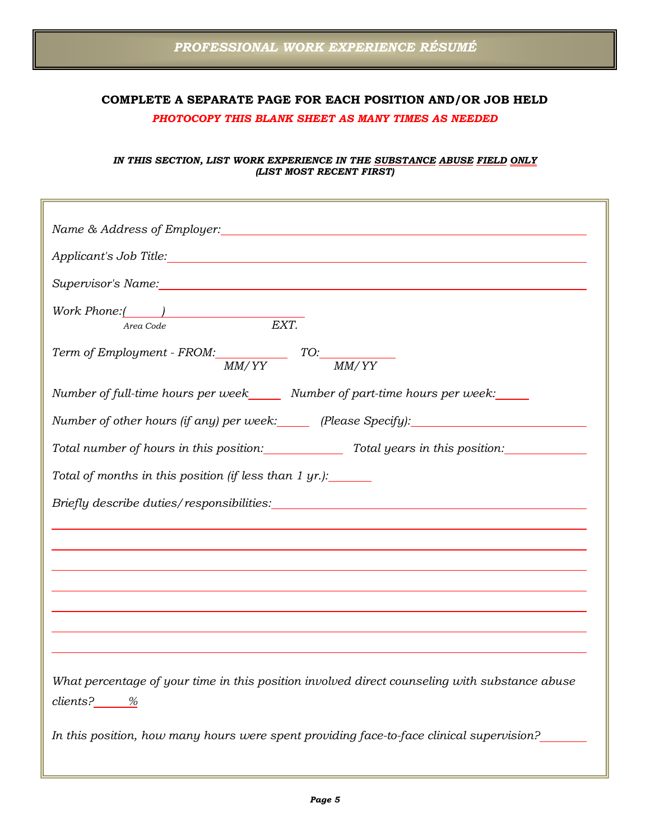#### *PROFESSIONAL WORK EXPERIENCE RÉSUMÉ*

#### **COMPLETE A SEPARATE PAGE FOR EACH POSITION AND/OR JOB HELD**

#### *PHOTOCOPY THIS BLANK SHEET AS MANY TIMES AS NEEDED*

#### *IN THIS SECTION, LIST WORK EXPERIENCE IN THE SUBSTANCE ABUSE FIELD ONLY (LIST MOST RECENT FIRST)*

| $Work Phone: ($ $)$<br>EXT.<br>Area Code                                                                    |
|-------------------------------------------------------------------------------------------------------------|
| Term of Employment - FROM:<br>TO:<br>MM/YY<br>MM/YY                                                         |
| Number of full-time hours per week______ Number of part-time hours per week:_____                           |
| Number of other hours (if any) per week: (Please Specify): (Please Speciful)                                |
| Total number of hours in this position: Total years in this position:                                       |
| Total of months in this position (if less than 1 yr.): ______                                               |
| Briefly describe duties/responsibilities:                                                                   |
|                                                                                                             |
|                                                                                                             |
|                                                                                                             |
|                                                                                                             |
|                                                                                                             |
|                                                                                                             |
| What percentage of your time in this position involved direct counseling with substance abuse<br>clients? % |
| In this position, how many hours were spent providing face-to-face clinical supervision?                    |